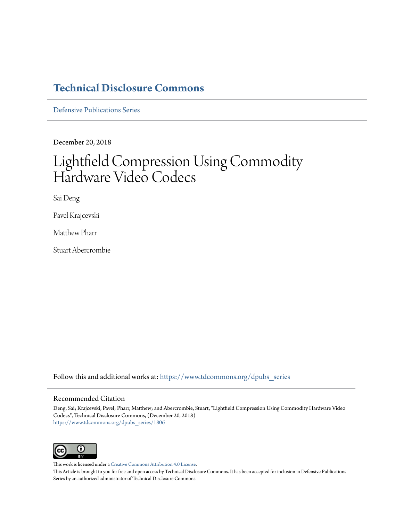### **[Technical Disclosure Commons](https://www.tdcommons.org?utm_source=www.tdcommons.org%2Fdpubs_series%2F1806&utm_medium=PDF&utm_campaign=PDFCoverPages)**

[Defensive Publications Series](https://www.tdcommons.org/dpubs_series?utm_source=www.tdcommons.org%2Fdpubs_series%2F1806&utm_medium=PDF&utm_campaign=PDFCoverPages)

December 20, 2018

# Lightfield Compression Using Commodity Hardware Video Codecs

Sai Deng

Pavel Krajcevski

Matthew Pharr

Stuart Abercrombie

Follow this and additional works at: [https://www.tdcommons.org/dpubs\\_series](https://www.tdcommons.org/dpubs_series?utm_source=www.tdcommons.org%2Fdpubs_series%2F1806&utm_medium=PDF&utm_campaign=PDFCoverPages)

#### Recommended Citation

Deng, Sai; Krajcevski, Pavel; Pharr, Matthew; and Abercrombie, Stuart, "Lightfield Compression Using Commodity Hardware Video Codecs", Technical Disclosure Commons, (December 20, 2018) [https://www.tdcommons.org/dpubs\\_series/1806](https://www.tdcommons.org/dpubs_series/1806?utm_source=www.tdcommons.org%2Fdpubs_series%2F1806&utm_medium=PDF&utm_campaign=PDFCoverPages)



This work is licensed under a [Creative Commons Attribution 4.0 License.](http://creativecommons.org/licenses/by/4.0/deed.en_US)

This Article is brought to you for free and open access by Technical Disclosure Commons. It has been accepted for inclusion in Defensive Publications Series by an authorized administrator of Technical Disclosure Commons.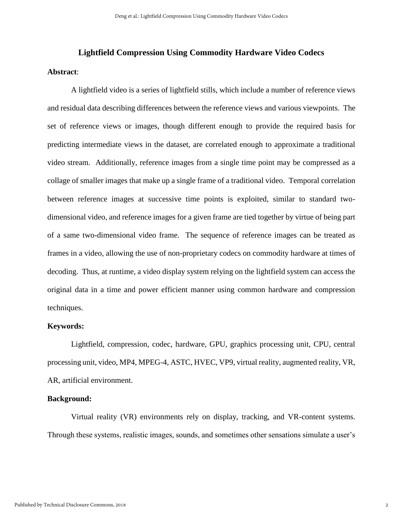# **Lightfield Compression Using Commodity Hardware Video Codecs Abstract**:

A lightfield video is a series of lightfield stills, which include a number of reference views and residual data describing differences between the reference views and various viewpoints. The set of reference views or images, though different enough to provide the required basis for predicting intermediate views in the dataset, are correlated enough to approximate a traditional video stream. Additionally, reference images from a single time point may be compressed as a collage of smaller images that make up a single frame of a traditional video. Temporal correlation between reference images at successive time points is exploited, similar to standard twodimensional video, and reference images for a given frame are tied together by virtue of being part of a same two-dimensional video frame. The sequence of reference images can be treated as frames in a video, allowing the use of non-proprietary codecs on commodity hardware at times of decoding. Thus, at runtime, a video display system relying on the lightfield system can access the original data in a time and power efficient manner using common hardware and compression techniques.

#### **Keywords:**

Lightfield, compression, codec, hardware, GPU, graphics processing unit, CPU, central processing unit, video, MP4, MPEG-4, ASTC, HVEC, VP9, virtual reality, augmented reality, VR, AR, artificial environment.

#### **Background:**

Virtual reality (VR) environments rely on display, tracking, and VR-content systems. Through these systems, realistic images, sounds, and sometimes other sensations simulate a user's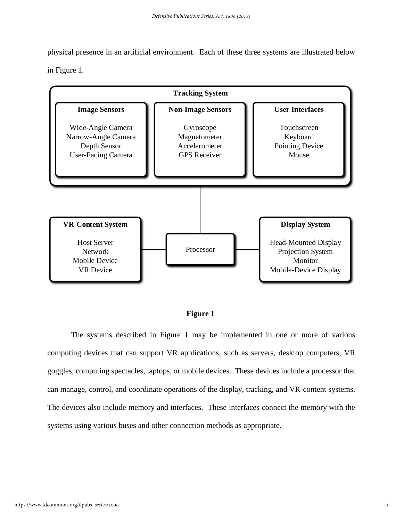physical presence in an artificial environment. Each of these three systems are illustrated below in Figure 1.



## **Fig. 1 Figure 1**

The systems described in Figure 1 may be implemented in one or more of various computing devices that can support VR applications, such as servers, desktop computers, VR goggles, computing spectacles, laptops, or mobile devices. These devices include a processor that can manage, control, and coordinate operations of the display, tracking, and VR-content systems. The devices also include memory and interfaces. These interfaces connect the memory with the systems using various buses and other connection methods as appropriate.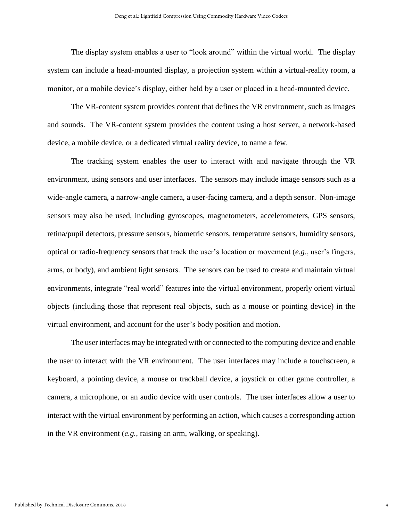The display system enables a user to "look around" within the virtual world. The display system can include a head-mounted display, a projection system within a virtual-reality room, a monitor, or a mobile device's display, either held by a user or placed in a head-mounted device.

The VR-content system provides content that defines the VR environment, such as images and sounds. The VR-content system provides the content using a host server, a network-based device, a mobile device, or a dedicated virtual reality device, to name a few.

The tracking system enables the user to interact with and navigate through the VR environment, using sensors and user interfaces. The sensors may include image sensors such as a wide-angle camera, a narrow-angle camera, a user-facing camera, and a depth sensor. Non-image sensors may also be used, including gyroscopes, magnetometers, accelerometers, GPS sensors, retina/pupil detectors, pressure sensors, biometric sensors, temperature sensors, humidity sensors, optical or radio-frequency sensors that track the user's location or movement (*e.g.*, user's fingers, arms, or body), and ambient light sensors. The sensors can be used to create and maintain virtual environments, integrate "real world" features into the virtual environment, properly orient virtual objects (including those that represent real objects, such as a mouse or pointing device) in the virtual environment, and account for the user's body position and motion.

The user interfaces may be integrated with or connected to the computing device and enable the user to interact with the VR environment. The user interfaces may include a touchscreen, a keyboard, a pointing device, a mouse or trackball device, a joystick or other game controller, a camera, a microphone, or an audio device with user controls. The user interfaces allow a user to interact with the virtual environment by performing an action, which causes a corresponding action in the VR environment (*e.g.,* raising an arm, walking, or speaking).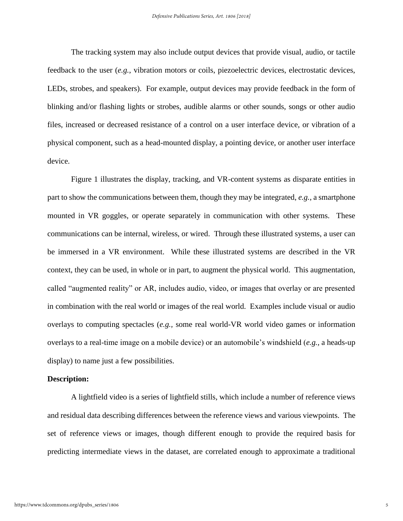The tracking system may also include output devices that provide visual, audio, or tactile feedback to the user (*e.g.*, vibration motors or coils, piezoelectric devices, electrostatic devices, LEDs, strobes, and speakers). For example, output devices may provide feedback in the form of blinking and/or flashing lights or strobes, audible alarms or other sounds, songs or other audio files, increased or decreased resistance of a control on a user interface device, or vibration of a physical component, such as a head-mounted display, a pointing device, or another user interface device.

Figure 1 illustrates the display, tracking, and VR-content systems as disparate entities in part to show the communications between them, though they may be integrated, *e.g.*, a smartphone mounted in VR goggles, or operate separately in communication with other systems. These communications can be internal, wireless, or wired. Through these illustrated systems, a user can be immersed in a VR environment. While these illustrated systems are described in the VR context, they can be used, in whole or in part, to augment the physical world. This augmentation, called "augmented reality" or AR, includes audio, video, or images that overlay or are presented in combination with the real world or images of the real world. Examples include visual or audio overlays to computing spectacles (*e.g.,* some real world-VR world video games or information overlays to a real-time image on a mobile device) or an automobile's windshield (*e.g.,* a heads-up display) to name just a few possibilities.

#### **Description:**

A lightfield video is a series of lightfield stills, which include a number of reference views and residual data describing differences between the reference views and various viewpoints. The set of reference views or images, though different enough to provide the required basis for predicting intermediate views in the dataset, are correlated enough to approximate a traditional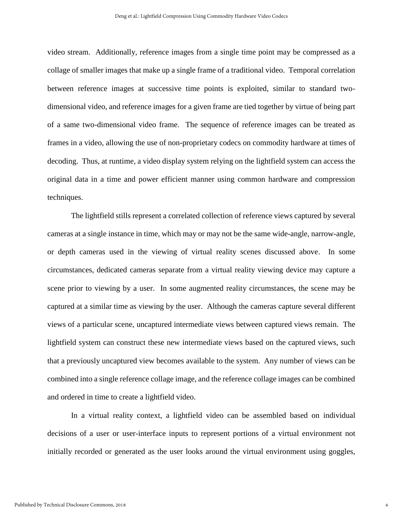video stream. Additionally, reference images from a single time point may be compressed as a collage of smaller images that make up a single frame of a traditional video. Temporal correlation between reference images at successive time points is exploited, similar to standard twodimensional video, and reference images for a given frame are tied together by virtue of being part of a same two-dimensional video frame. The sequence of reference images can be treated as frames in a video, allowing the use of non-proprietary codecs on commodity hardware at times of decoding. Thus, at runtime, a video display system relying on the lightfield system can access the original data in a time and power efficient manner using common hardware and compression techniques.

The lightfield stills represent a correlated collection of reference views captured by several cameras at a single instance in time, which may or may not be the same wide-angle, narrow-angle, or depth cameras used in the viewing of virtual reality scenes discussed above. In some circumstances, dedicated cameras separate from a virtual reality viewing device may capture a scene prior to viewing by a user. In some augmented reality circumstances, the scene may be captured at a similar time as viewing by the user. Although the cameras capture several different views of a particular scene, uncaptured intermediate views between captured views remain. The lightfield system can construct these new intermediate views based on the captured views, such that a previously uncaptured view becomes available to the system. Any number of views can be combined into a single reference collage image, and the reference collage images can be combined and ordered in time to create a lightfield video.

In a virtual reality context, a lightfield video can be assembled based on individual decisions of a user or user-interface inputs to represent portions of a virtual environment not initially recorded or generated as the user looks around the virtual environment using goggles,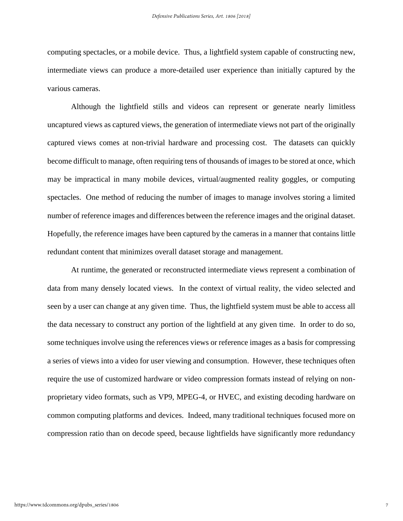computing spectacles, or a mobile device. Thus, a lightfield system capable of constructing new, intermediate views can produce a more-detailed user experience than initially captured by the various cameras.

Although the lightfield stills and videos can represent or generate nearly limitless uncaptured views as captured views, the generation of intermediate views not part of the originally captured views comes at non-trivial hardware and processing cost. The datasets can quickly become difficult to manage, often requiring tens of thousands of images to be stored at once, which may be impractical in many mobile devices, virtual/augmented reality goggles, or computing spectacles. One method of reducing the number of images to manage involves storing a limited number of reference images and differences between the reference images and the original dataset. Hopefully, the reference images have been captured by the cameras in a manner that contains little redundant content that minimizes overall dataset storage and management.

At runtime, the generated or reconstructed intermediate views represent a combination of data from many densely located views. In the context of virtual reality, the video selected and seen by a user can change at any given time. Thus, the lightfield system must be able to access all the data necessary to construct any portion of the lightfield at any given time. In order to do so, some techniques involve using the references views or reference images as a basis for compressing a series of views into a video for user viewing and consumption. However, these techniques often require the use of customized hardware or video compression formats instead of relying on nonproprietary video formats, such as VP9, MPEG-4, or HVEC, and existing decoding hardware on common computing platforms and devices. Indeed, many traditional techniques focused more on compression ratio than on decode speed, because lightfields have significantly more redundancy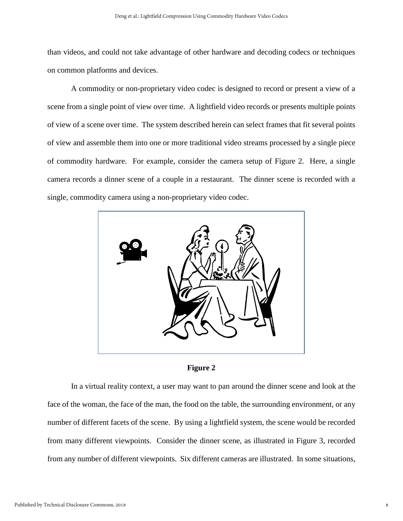than videos, and could not take advantage of other hardware and decoding codecs or techniques on common platforms and devices.

A commodity or non-proprietary video codec is designed to record or present a view of a scene from a single point of view over time. A lightfield video records or presents multiple points of view of a scene over time. The system described herein can select frames that fit several points of view and assemble them into one or more traditional video streams processed by a single piece of commodity hardware. For example, consider the camera setup of Figure 2. Here, a single camera records a dinner scene of a couple in a restaurant. The dinner scene is recorded with a single, commodity camera using a non-proprietary video codec.





In a virtual reality context, a user may want to pan around the dinner scene and look at the face of the woman, the face of the man, the food on the table, the surrounding environment, or any number of different facets of the scene. By using a lightfield system, the scene would be recorded from many different viewpoints. Consider the dinner scene, as illustrated in Figure 3, recorded from any number of different viewpoints. Six different cameras are illustrated. In some situations,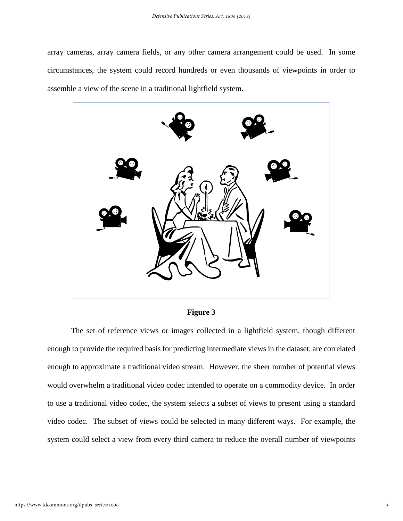array cameras, array camera fields, or any other camera arrangement could be used. In some circumstances, the system could record hundreds or even thousands of viewpoints in order to assemble a view of the scene in a traditional lightfield system.



**Figure 3**

The set of reference views or images collected in a lightfield system, though different enough to provide the required basis for predicting intermediate views in the dataset, are correlated enough to approximate a traditional video stream. However, the sheer number of potential views would overwhelm a traditional video codec intended to operate on a commodity device. In order to use a traditional video codec, the system selects a subset of views to present using a standard video codec. The subset of views could be selected in many different ways. For example, the system could select a view from every third camera to reduce the overall number of viewpoints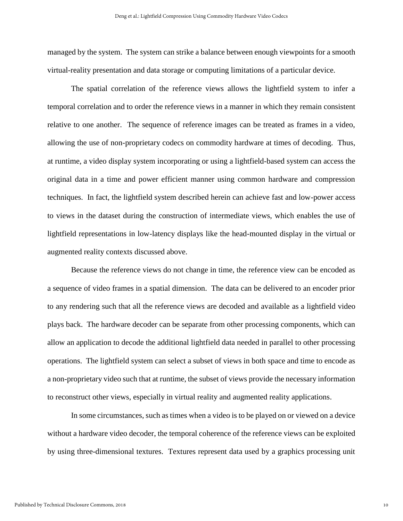managed by the system. The system can strike a balance between enough viewpoints for a smooth virtual-reality presentation and data storage or computing limitations of a particular device.

The spatial correlation of the reference views allows the lightfield system to infer a temporal correlation and to order the reference views in a manner in which they remain consistent relative to one another. The sequence of reference images can be treated as frames in a video, allowing the use of non-proprietary codecs on commodity hardware at times of decoding. Thus, at runtime, a video display system incorporating or using a lightfield-based system can access the original data in a time and power efficient manner using common hardware and compression techniques. In fact, the lightfield system described herein can achieve fast and low-power access to views in the dataset during the construction of intermediate views, which enables the use of lightfield representations in low-latency displays like the head-mounted display in the virtual or augmented reality contexts discussed above.

Because the reference views do not change in time, the reference view can be encoded as a sequence of video frames in a spatial dimension. The data can be delivered to an encoder prior to any rendering such that all the reference views are decoded and available as a lightfield video plays back. The hardware decoder can be separate from other processing components, which can allow an application to decode the additional lightfield data needed in parallel to other processing operations. The lightfield system can select a subset of views in both space and time to encode as a non-proprietary video such that at runtime, the subset of views provide the necessary information to reconstruct other views, especially in virtual reality and augmented reality applications.

In some circumstances, such as times when a video is to be played on or viewed on a device without a hardware video decoder, the temporal coherence of the reference views can be exploited by using three-dimensional textures. Textures represent data used by a graphics processing unit